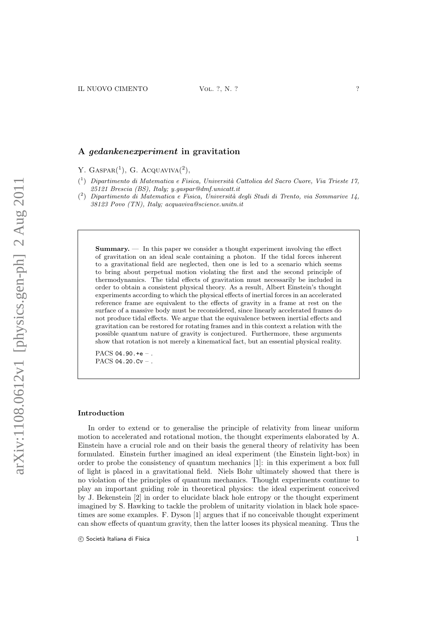# A gedankenexperiment in gravitation

Y.  $GASPAR<sup>(1)</sup>$ , G. ACQUAVIVA $<sup>(2)</sup>$ ,</sup>

- $\binom{1}{1}$  Dipartimento di Matematica e Fisica, Università Cattolica del Sacro Cuore, Via Trieste 17, 25121 Brescia (BS), Italy; y.gaspar@dmf.unicatt.it
- $(2)$ ) Dipartimento di Matematica e Fisica, Universit`a degli Studi di Trento, via Sommarive 14, 38123 Povo (TN), Italy; acquaviva@science.unitn.it

Summary. — In this paper we consider a thought experiment involving the effect of gravitation on an ideal scale containing a photon. If the tidal forces inherent to a gravitational field are neglected, then one is led to a scenario which seems to bring about perpetual motion violating the first and the second principle of thermodynamics. The tidal effects of gravitation must necessarily be included in order to obtain a consistent physical theory. As a result, Albert Einstein's thought experiments according to which the physical effects of inertial forces in an accelerated reference frame are equivalent to the effects of gravity in a frame at rest on the surface of a massive body must be reconsidered, since linearly accelerated frames do not produce tidal effects. We argue that the equivalence between inertial effects and gravitation can be restored for rotating frames and in this context a relation with the possible quantum nature of gravity is conjectured. Furthermore, these arguments show that rotation is not merely a kinematical fact, but an essential physical reality.

PACS  $04.90.+e-.$ PACS  $04.20$ .Cv –.

#### Introduction

In order to extend or to generalise the principle of relativity from linear uniform motion to accelerated and rotational motion, the thought experiments elaborated by A. Einstein have a crucial role and on their basis the general theory of relativity has been formulated. Einstein further imagined an ideal experiment (the Einstein light-box) in order to probe the consistency of quantum mechanics [1]: in this experiment a box full of light is placed in a gravitational field. Niels Bohr ultimately showed that there is no violation of the principles of quantum mechanics. Thought experiments continue to play an important guiding role in theoretical physics: the ideal experiment conceived by J. Bekenstein [2] in order to elucidate black hole entropy or the thought experiment imagined by S. Hawking to tackle the problem of unitarity violation in black hole spacetimes are some examples. F. Dyson [1] argues that if no conceivable thought experiment can show effects of quantum gravity, then the latter looses its physical meaning. Thus the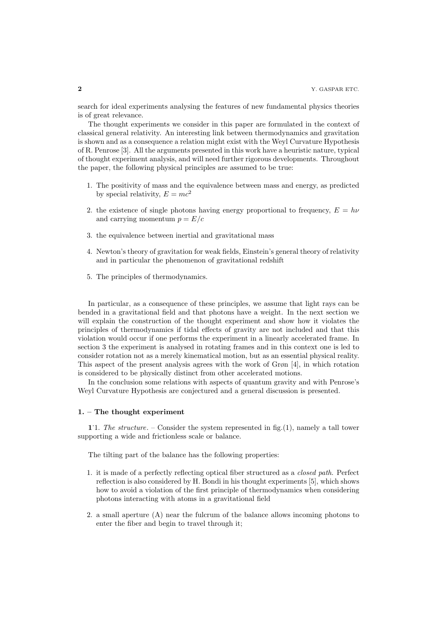search for ideal experiments analysing the features of new fundamental physics theories is of great relevance.

The thought experiments we consider in this paper are formulated in the context of classical general relativity. An interesting link between thermodynamics and gravitation is shown and as a consequence a relation might exist with the Weyl Curvature Hypothesis of R. Penrose [3]. All the arguments presented in this work have a heuristic nature, typical of thought experiment analysis, and will need further rigorous developments. Throughout the paper, the following physical principles are assumed to be true:

- 1. The positivity of mass and the equivalence between mass and energy, as predicted by special relativity,  $E = mc^2$
- 2. the existence of single photons having energy proportional to frequency,  $E = h\nu$ and carrying momentum  $p = E/c$
- 3. the equivalence between inertial and gravitational mass
- 4. Newton's theory of gravitation for weak fields, Einstein's general theory of relativity and in particular the phenomenon of gravitational redshift
- 5. The principles of thermodynamics.

In particular, as a consequence of these principles, we assume that light rays can be bended in a gravitational field and that photons have a weight. In the next section we will explain the construction of the thought experiment and show how it violates the principles of thermodynamics if tidal effects of gravity are not included and that this violation would occur if one performs the experiment in a linearly accelerated frame. In section 3 the experiment is analysed in rotating frames and in this context one is led to consider rotation not as a merely kinematical motion, but as an essential physical reality. This aspect of the present analysis agrees with the work of Grøn [4], in which rotation is considered to be physically distinct from other accelerated motions.

In the conclusion some relations with aspects of quantum gravity and with Penrose's Weyl Curvature Hypothesis are conjectured and a general discussion is presented.

#### 1. – The thought experiment

1.1. The structure. – Consider the system represented in fig. (1), namely a tall tower supporting a wide and frictionless scale or balance.

The tilting part of the balance has the following properties:

- 1. it is made of a perfectly reflecting optical fiber structured as a closed path. Perfect reflection is also considered by H. Bondi in his thought experiments [5], which shows how to avoid a violation of the first principle of thermodynamics when considering photons interacting with atoms in a gravitational field
- 2. a small aperture (A) near the fulcrum of the balance allows incoming photons to enter the fiber and begin to travel through it;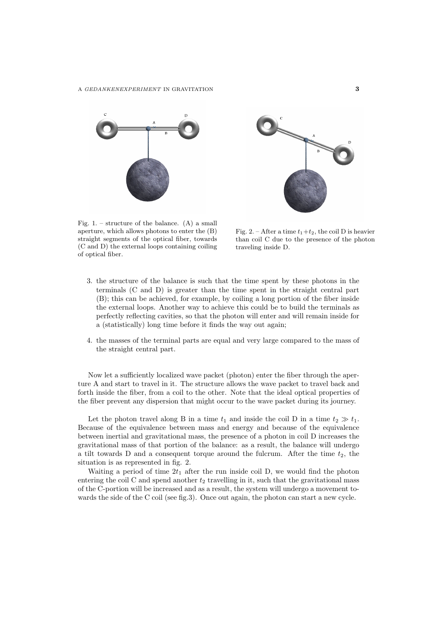



Fig. 1. – structure of the balance.  $(A)$  a small aperture, which allows photons to enter the (B) straight segments of the optical fiber, towards (C and D) the external loops containing coiling of optical fiber.

Fig. 2. – After a time  $t_1+t_2$ , the coil D is heavier than coil C due to the presence of the photon traveling inside D.

- 3. the structure of the balance is such that the time spent by these photons in the terminals (C and D) is greater than the time spent in the straight central part (B); this can be achieved, for example, by coiling a long portion of the fiber inside the external loops. Another way to achieve this could be to build the terminals as perfectly reflecting cavities, so that the photon will enter and will remain inside for a (statistically) long time before it finds the way out again;
- 4. the masses of the terminal parts are equal and very large compared to the mass of the straight central part.

Now let a sufficiently localized wave packet (photon) enter the fiber through the aperture A and start to travel in it. The structure allows the wave packet to travel back and forth inside the fiber, from a coil to the other. Note that the ideal optical properties of the fiber prevent any dispersion that might occur to the wave packet during its journey.

Let the photon travel along B in a time  $t_1$  and inside the coil D in a time  $t_2 \gg t_1$ . Because of the equivalence between mass and energy and because of the equivalence between inertial and gravitational mass, the presence of a photon in coil D increases the gravitational mass of that portion of the balance: as a result, the balance will undergo a tilt towards D and a consequent torque around the fulcrum. After the time  $t_2$ , the situation is as represented in fig. 2.

Waiting a period of time  $2t_1$  after the run inside coil D, we would find the photon entering the coil C and spend another  $t_2$  travelling in it, such that the gravitational mass of the C-portion will be increased and as a result, the system will undergo a movement towards the side of the C coil (see fig.3). Once out again, the photon can start a new cycle.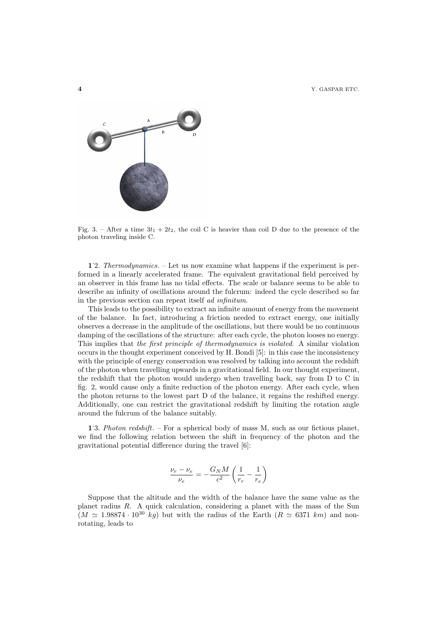4 Y. GASPAR ETC.



Fig. 3. – After a time  $3t_1 + 2t_2$ , the coil C is heavier than coil D due to the presence of the photon traveling inside C.

1.2. Thermodynamics. – Let us now examine what happens if the experiment is performed in a linearly accelerated frame. The equivalent gravitational field perceived by an observer in this frame has no tidal effects. The scale or balance seems to be able to describe an infinity of oscillations around the fulcrum: indeed the cycle described so far in the previous section can repeat itself ad infinitum.

This leads to the possibility to extract an infinite amount of energy from the movement of the balance. In fact, introducing a friction needed to extract energy, one initially observes a decrease in the amplitude of the oscillations, but there would be no continuous damping of the oscillations of the structure: after each cycle, the photon looses no energy. This implies that the first principle of thermodynamics is violated. A similar violation occurs in the thought experiment conceived by H. Bondi [5]: in this case the inconsistency with the principle of energy conservation was resolved by talking into account the redshift of the photon when travelling upwards in a gravitational field. In our thought experiment, the redshift that the photon would undergo when travelling back, say from D to C in fig. 2, would cause only a finite reduction of the photon energy. After each cycle, when the photon returns to the lowest part D of the balance, it regains the reshifted energy. Additionally, one can restrict the gravitational redshift by limiting the rotation angle around the fulcrum of the balance suitably.

1.3. *Photon redshift*. – For a spherical body of mass M, such as our fictious planet, we find the following relation between the shift in frequency of the photon and the gravitational potential difference during the travel [6]:

$$
\frac{\nu_r - \nu_e}{\nu_e} = -\frac{G_N M}{c^2} \left( \frac{1}{r_r} - \frac{1}{r_e} \right)
$$

Suppose that the altitude and the width of the balance have the same value as the planet radius R. A quick calculation, considering a planet with the mass of the Sun  $(M \simeq 1.98874 \cdot 10^{30}$  kg) but with the radius of the Earth  $(R \simeq 6371$  km) and nonrotating, leads to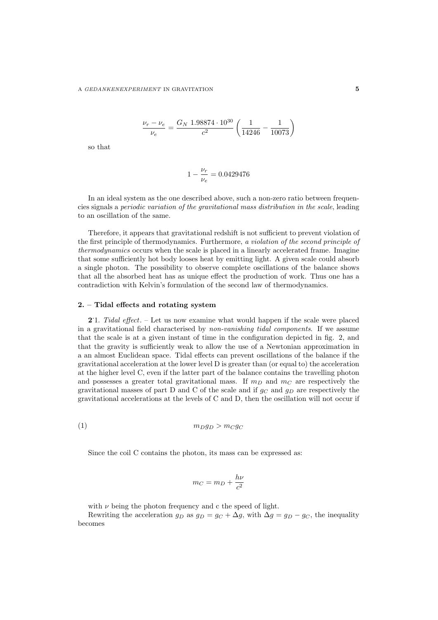$$
\frac{\nu_r - \nu_e}{\nu_e} = \frac{G_N \ 1.98874 \cdot 10^{30}}{c^2} \left( \frac{1}{14246} - \frac{1}{10073} \right)
$$

so that

$$
1 - \frac{\nu_r}{\nu_e} = 0.0429476
$$

In an ideal system as the one described above, such a non-zero ratio between frequencies signals a periodic variation of the gravitational mass distribution in the scale, leading to an oscillation of the same.

Therefore, it appears that gravitational redshift is not sufficient to prevent violation of the first principle of thermodynamics. Furthermore, a violation of the second principle of thermodynamics occurs when the scale is placed in a linearly accelerated frame. Imagine that some sufficiently hot body looses heat by emitting light. A given scale could absorb a single photon. The possibility to observe complete oscillations of the balance shows that all the absorbed heat has as unique effect the production of work. Thus one has a contradiction with Kelvin's formulation of the second law of thermodynamics.

### 2. – Tidal effects and rotating system

2.1. Tidal effect. – Let us now examine what would happen if the scale were placed in a gravitational field characterised by non-vanishing tidal components. If we assume that the scale is at a given instant of time in the configuration depicted in fig. 2, and that the gravity is sufficiently weak to allow the use of a Newtonian approximation in a an almost Euclidean space. Tidal effects can prevent oscillations of the balance if the gravitational acceleration at the lower level D is greater than (or equal to) the acceleration at the higher level C, even if the latter part of the balance contains the travelling photon and possesses a greater total gravitational mass. If  $m<sub>D</sub>$  and  $m<sub>C</sub>$  are respectively the gravitational masses of part D and C of the scale and if  $g_C$  and  $g_D$  are respectively the gravitational accelerations at the levels of C and D, then the oscillation will not occur if

$$
(1) \t m_D g_D > m_C g_C
$$

Since the coil C contains the photon, its mass can be expressed as:

$$
m_C = m_D + \frac{h\nu}{c^2}
$$

with  $\nu$  being the photon frequency and c the speed of light.

Rewriting the acceleration  $g_D$  as  $g_D = g_C + \Delta g$ , with  $\Delta g = g_D - g_C$ , the inequality becomes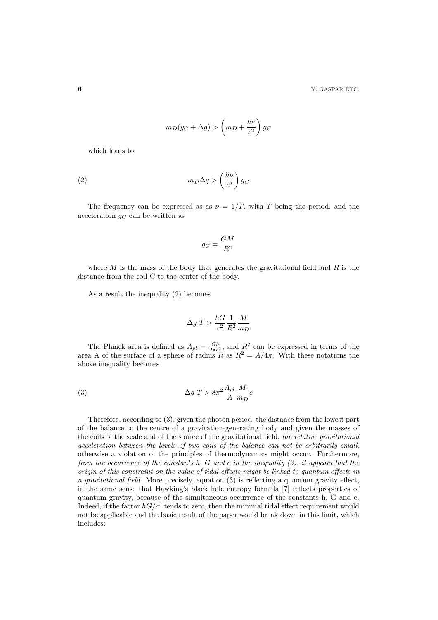$$
m_D(g_C + \Delta g) > \left(m_D + \frac{h\nu}{c^2}\right)g_C
$$

which leads to

$$
(2) \t m_D \Delta g > \left(\frac{h\nu}{c^2}\right) g_C
$$

The frequency can be expressed as as  $\nu = 1/T$ , with T being the period, and the acceleration  $g_C$  can be written as

$$
g_C = \frac{GM}{R^2}
$$

where  $M$  is the mass of the body that generates the gravitational field and  $R$  is the distance from the coil C to the center of the body.

As a result the inequality (2) becomes

$$
\Delta g \ T > \frac{hG}{c^2} \frac{1}{R^2} \frac{M}{m_D}
$$

The Planck area is defined as  $A_{pl} = \frac{Gh}{2\pi c^3}$ , and  $R^2$  can be expressed in terms of the area A of the surface of a sphere of radius R as  $R^2 = A/4\pi$ . With these notations the above inequality becomes

(3) 
$$
\Delta g \; T > 8\pi^2 \frac{A_{pl}}{A} \frac{M}{m_D} c
$$

Therefore, according to (3), given the photon period, the distance from the lowest part of the balance to the centre of a gravitation-generating body and given the masses of the coils of the scale and of the source of the gravitational field, the relative gravitational acceleration between the levels of two coils of the balance can not be arbitrarily small, otherwise a violation of the principles of thermodynamics might occur. Furthermore, from the occurrence of the constants h, G and c in the inequality  $(3)$ , it appears that the origin of this constraint on the value of tidal effects might be linked to quantum effects in a gravitational field. More precisely, equation (3) is reflecting a quantum gravity effect, in the same sense that Hawking's black hole entropy formula [7] reflects properties of quantum gravity, because of the simultaneous occurrence of the constants h, G and c. Indeed, if the factor  $hG/c^3$  tends to zero, then the minimal tidal effect requirement would not be applicable and the basic result of the paper would break down in this limit, which includes: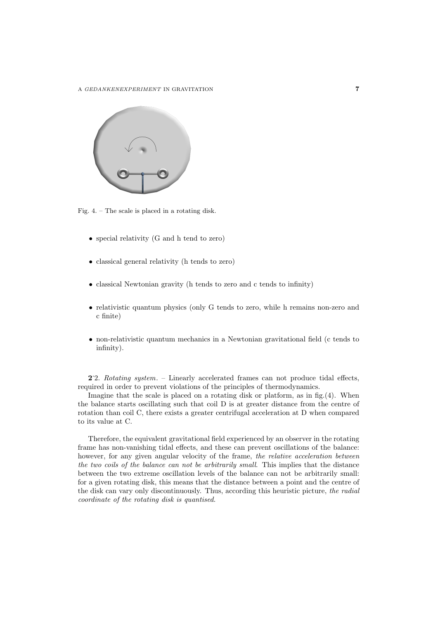

Fig. 4. – The scale is placed in a rotating disk.

- special relativity (G and h tend to zero)
- classical general relativity (h tends to zero)
- classical Newtonian gravity (h tends to zero and c tends to infinity)
- relativistic quantum physics (only G tends to zero, while h remains non-zero and c finite)
- non-relativistic quantum mechanics in a Newtonian gravitational field (c tends to infinity).

2. 2. Rotating system. – Linearly accelerated frames can not produce tidal effects, required in order to prevent violations of the principles of thermodynamics.

Imagine that the scale is placed on a rotating disk or platform, as in fig.(4). When the balance starts oscillating such that coil D is at greater distance from the centre of rotation than coil C, there exists a greater centrifugal acceleration at D when compared to its value at C.

Therefore, the equivalent gravitational field experienced by an observer in the rotating frame has non-vanishing tidal effects, and these can prevent oscillations of the balance: however, for any given angular velocity of the frame, the relative acceleration between the two coils of the balance can not be arbitrarily small. This implies that the distance between the two extreme oscillation levels of the balance can not be arbitrarily small: for a given rotating disk, this means that the distance between a point and the centre of the disk can vary only discontinuously. Thus, according this heuristic picture, the radial coordinate of the rotating disk is quantised.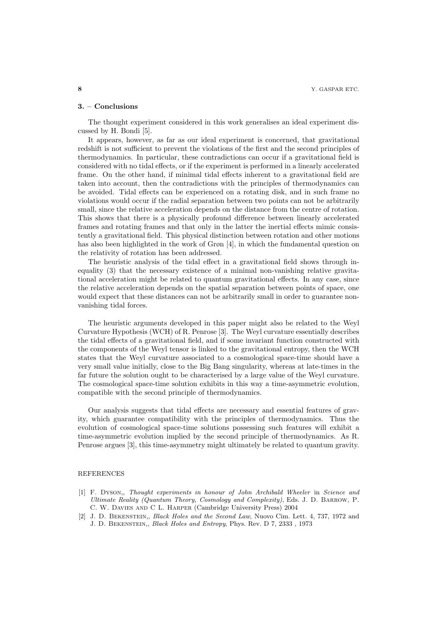### 3. – Conclusions

The thought experiment considered in this work generalises an ideal experiment discussed by H. Bondi [5].

It appears, however, as far as our ideal experiment is concerned, that gravitational redshift is not sufficient to prevent the violations of the first and the second principles of thermodynamics. In particular, these contradictions can occur if a gravitational field is considered with no tidal effects, or if the experiment is performed in a linearly accelerated frame. On the other hand, if minimal tidal effects inherent to a gravitational field are taken into account, then the contradictions with the principles of thermodynamics can be avoided. Tidal effects can be experienced on a rotating disk, and in such frame no violations would occur if the radial separation between two points can not be arbitrarily small, since the relative acceleration depends on the distance from the centre of rotation. This shows that there is a physically profound difference between linearly accelerated frames and rotating frames and that only in the latter the inertial effects mimic consistently a gravitational field. This physical distinction between rotation and other motions has also been highlighted in the work of Grøn [4], in which the fundamental question on the relativity of rotation has been addressed.

The heuristic analysis of the tidal effect in a gravitational field shows through inequality (3) that the necessary existence of a minimal non-vanishing relative gravitational acceleration might be related to quantum gravitational effects. In any case, since the relative acceleration depends on the spatial separation between points of space, one would expect that these distances can not be arbitrarily small in order to guarantee nonvanishing tidal forces.

The heuristic arguments developed in this paper might also be related to the Weyl Curvature Hypothesis (WCH) of R. Penrose [3]. The Weyl curvature essentially describes the tidal effects of a gravitational field, and if some invariant function constructed with the components of the Weyl tensor is linked to the gravitational entropy, then the WCH states that the Weyl curvature associated to a cosmological space-time should have a very small value initially, close to the Big Bang singularity, whereas at late-times in the far future the solution ought to be characterised by a large value of the Weyl curvature. The cosmological space-time solution exhibits in this way a time-asymmetric evolution, compatible with the second principle of thermodynamics.

Our analysis suggests that tidal effects are necessary and essential features of gravity, which guarantee compatibility with the principles of thermodynamics. Thus the evolution of cosmological space-time solutions possessing such features will exhibit a time-asymmetric evolution implied by the second principle of thermodynamics. As R. Penrose argues [3], this time-asymmetry might ultimately be related to quantum gravity.

## **REFERENCES**

- [1] F. Dyson,, Thought experiments in honour of John Archibald Wheeler in Science and Ultimate Reality (Quantum Theory, Cosmology and Complexity), Eds. J. D. Barrow, P. C. W. Davies and C L. Harper (Cambridge University Press) 2004
- [2] J. D. Bekenstein,, Black Holes and the Second Law, Nuovo Cim. Lett. 4, 737, 1972 and J. D. Bekenstein,, Black Holes and Entropy, Phys. Rev. D 7, 2333 , 1973